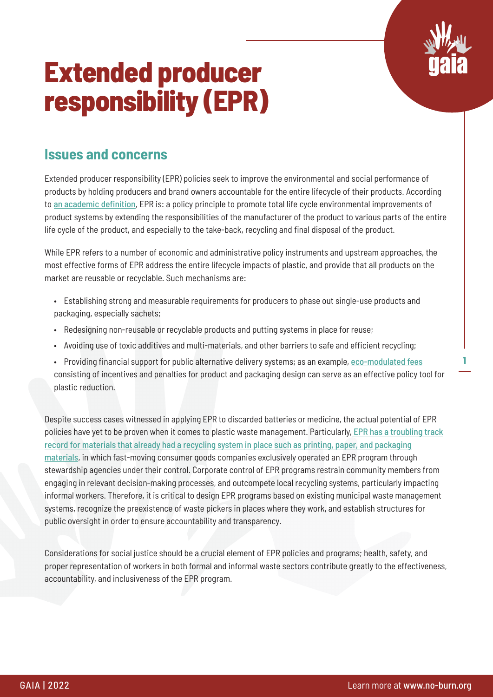

**1**

# **Extended producer responsibility (EPR)**

#### **Issues and concerns**

Extended producer responsibility (EPR) policies seek to improve the environmental and social performance of products by holding producers and brand owners accountable for the entire lifecycle of their products. According to [an academic definition](https://lup.lub.lu.se/search/ws/files/4433708/1002025.pdf), EPR is: a policy principle to promote total life cycle environmental improvements of product systems by extending the responsibilities of the manufacturer of the product to various parts of the entire life cycle of the product, and especially to the take-back, recycling and final disposal of the product.

While EPR refers to a number of economic and administrative policy instruments and upstream approaches, the most effective forms of EPR address the entire lifecycle impacts of plastic, and provide that all products on the market are reusable or recyclable. Such mechanisms are:

- Establishing strong and measurable requirements for producers to phase out single-use products and packaging, especially sachets;
- Redesigning non-reusable or recyclable products and putting systems in place for reuse;
- Avoiding use of toxic additives and multi-materials, and other barriers to safe and efficient recycling;
- Providing financial support for public alternative delivery systems; as an example, [eco-modulated fees](https://www.oecd.org/publications/modulated-fees-for-extended-producer-responsibility-schemes-epr-2a42f54b-en.htm) consisting of incentives and penalties for product and packaging design can serve as an effective policy tool for plastic reduction.

Despite success cases witnessed in applying EPR to discarded batteries or medicine, the actual potential of EPR policies have yet to be proven when it comes to plastic waste management. Particularly, [EPR has a troubling track](https://www.wastedive.com/news/epr-good-bad-ugly/519582/) [record for materials that already had a recycling system in place such as printing, paper, and packaging](https://www.wastedive.com/news/epr-good-bad-ugly/519582/) [materials](https://www.wastedive.com/news/epr-good-bad-ugly/519582/), in which fast-moving consumer goods companies exclusively operated an EPR program through stewardship agencies under their control. Corporate control of EPR programs restrain community members from engaging in relevant decision-making processes, and outcompete local recycling systems, particularly impacting informal workers. Therefore, it is critical to design EPR programs based on existing municipal waste management systems, recognize the preexistence of waste pickers in places where they work, and establish structures for public oversight in order to ensure accountability and transparency.

Considerations for social justice should be a crucial element of EPR policies and programs; health, safety, and proper representation of workers in both formal and informal waste sectors contribute greatly to the effectiveness, accountability, and inclusiveness of the EPR program.